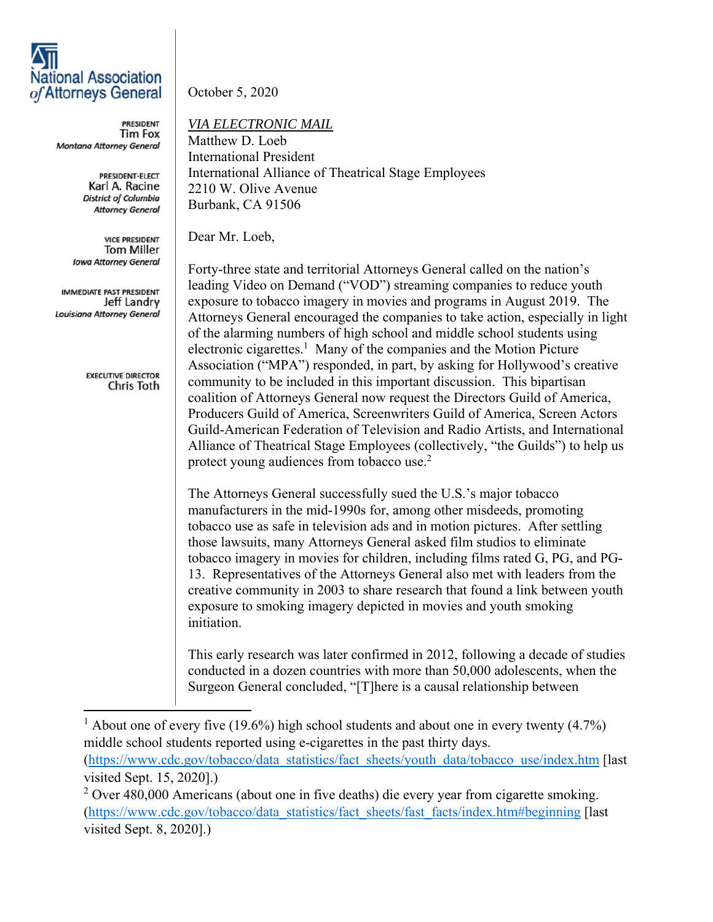## **National Association** of Attorneys General

**PRESIDENT Tim Fox** Montana Attorney General

> PRESIDENT-ELECT Karl A. Racine **District of Columbia Attorney General**

**VICE PRESIDENT Tom Miller Iowa Attorney General** 

IMMEDIATE PAST PRESIDENT Jeff Landry Louisiana Attorney General

> **EXECUTIVE DIRECTOR** Chris Toth

October 5, 2020

## *VIA ELECTRONIC MAIL*

Matthew D. Loeb International President International Alliance of Theatrical Stage Employees 2210 W. Olive Avenue Burbank, CA 91506

Dear Mr. Loeb,

Forty-three state and territorial Attorneys General called on the nation's leading Video on Demand ("VOD") streaming companies to reduce youth exposure to tobacco imagery in movies and programs in August 2019. The Attorneys General encouraged the companies to take action, especially in light of the alarming numbers of high school and middle school students using electronic cigarettes.<sup>1</sup> Many of the companies and the Motion Picture Association ("MPA") responded, in part, by asking for Hollywood's creative community to be included in this important discussion. This bipartisan coalition of Attorneys General now request the Directors Guild of America, Producers Guild of America, Screenwriters Guild of America, Screen Actors Guild-American Federation of Television and Radio Artists, and International Alliance of Theatrical Stage Employees (collectively, "the Guilds") to help us protect young audiences from tobacco use.<sup>2</sup>

The Attorneys General successfully sued the U.S.'s major tobacco manufacturers in the mid-1990s for, among other misdeeds, promoting tobacco use as safe in television ads and in motion pictures. After settling those lawsuits, many Attorneys General asked film studios to eliminate tobacco imagery in movies for children, including films rated G, PG, and PG-13. Representatives of the Attorneys General also met with leaders from the creative community in 2003 to share research that found a link between youth exposure to smoking imagery depicted in movies and youth smoking initiation.

This early research was later confirmed in 2012, following a decade of studies conducted in a dozen countries with more than 50,000 adolescents, when the Surgeon General concluded, "[T]here is a causal relationship between

<sup>1</sup> About one of every five (19.6%) high school students and about one in every twenty (4.7%) middle school students reported using e-cigarettes in the past thirty days. (https://www.cdc.gov/tobacco/data\_statistics/fact\_sheets/youth\_data/tobacco\_use/index.htm [last visited Sept. 15, 2020].)

 $2$  Over 480,000 Americans (about one in five deaths) die every year from cigarette smoking. (https://www.cdc.gov/tobacco/data\_statistics/fact\_sheets/fast\_facts/index.htm#beginning [last visited Sept. 8, 2020].)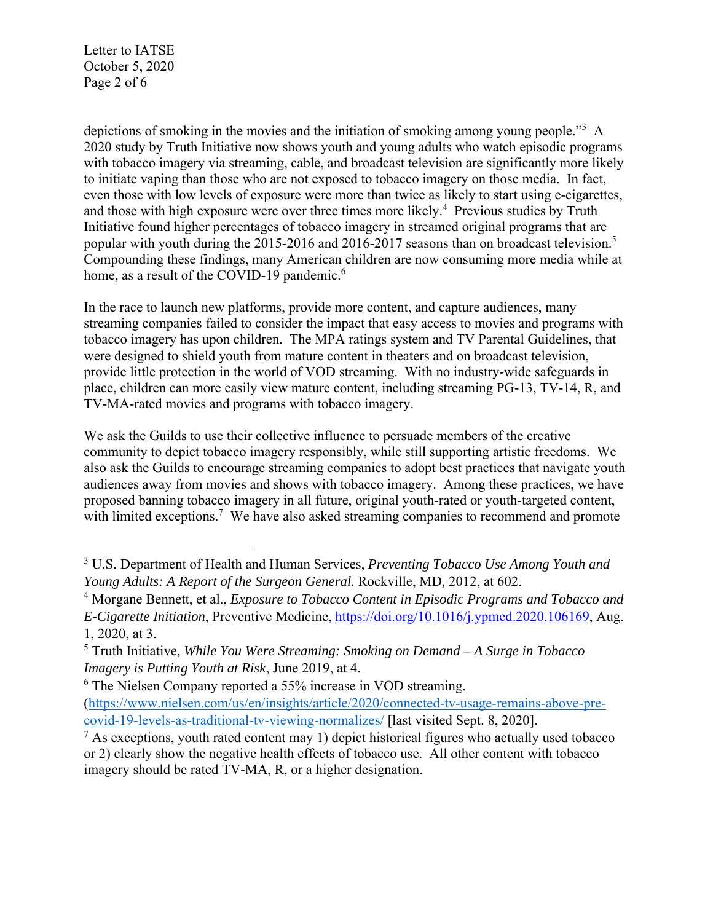Letter to IATSE October 5, 2020 Page 2 of 6

depictions of smoking in the movies and the initiation of smoking among young people."<sup>3</sup> A 2020 study by Truth Initiative now shows youth and young adults who watch episodic programs with tobacco imagery via streaming, cable, and broadcast television are significantly more likely to initiate vaping than those who are not exposed to tobacco imagery on those media. In fact, even those with low levels of exposure were more than twice as likely to start using e-cigarettes, and those with high exposure were over three times more likely.<sup>4</sup> Previous studies by Truth Initiative found higher percentages of tobacco imagery in streamed original programs that are popular with youth during the 2015-2016 and 2016-2017 seasons than on broadcast television.<sup>5</sup> Compounding these findings, many American children are now consuming more media while at home, as a result of the COVID-19 pandemic.<sup>6</sup>

In the race to launch new platforms, provide more content, and capture audiences, many streaming companies failed to consider the impact that easy access to movies and programs with tobacco imagery has upon children. The MPA ratings system and TV Parental Guidelines, that were designed to shield youth from mature content in theaters and on broadcast television, provide little protection in the world of VOD streaming. With no industry-wide safeguards in place, children can more easily view mature content, including streaming PG-13, TV-14, R, and TV-MA-rated movies and programs with tobacco imagery.

We ask the Guilds to use their collective influence to persuade members of the creative community to depict tobacco imagery responsibly, while still supporting artistic freedoms. We also ask the Guilds to encourage streaming companies to adopt best practices that navigate youth audiences away from movies and shows with tobacco imagery. Among these practices, we have proposed banning tobacco imagery in all future, original youth-rated or youth-targeted content, with limited exceptions.<sup>7</sup> We have also asked streaming companies to recommend and promote

<sup>3</sup> U.S. Department of Health and Human Services, *Preventing Tobacco Use Among Youth and Young Adults: A Report of the Surgeon General.* Rockville, MD*,* 2012, at 602.

<sup>&</sup>lt;sup>4</sup> Morgane Bennett, et al., *Exposure to Tobacco Content in Episodic Programs and Tobacco and E-Cigarette Initiation*, Preventive Medicine, https://doi.org/10.1016/j.ypmed.2020.106169, Aug. 1, 2020, at 3.

<sup>5</sup> Truth Initiative, *While You Were Streaming: Smoking on Demand – A Surge in Tobacco Imagery is Putting Youth at Risk*, June 2019, at 4.

<sup>&</sup>lt;sup>6</sup> The Nielsen Company reported a 55% increase in VOD streaming.

<sup>(</sup>https://www.nielsen.com/us/en/insights/article/2020/connected-tv-usage-remains-above-precovid-19-levels-as-traditional-tv-viewing-normalizes/ [last visited Sept. 8, 2020].

 $<sup>7</sup>$  As exceptions, youth rated content may 1) depict historical figures who actually used tobacco</sup> or 2) clearly show the negative health effects of tobacco use. All other content with tobacco imagery should be rated TV-MA, R, or a higher designation.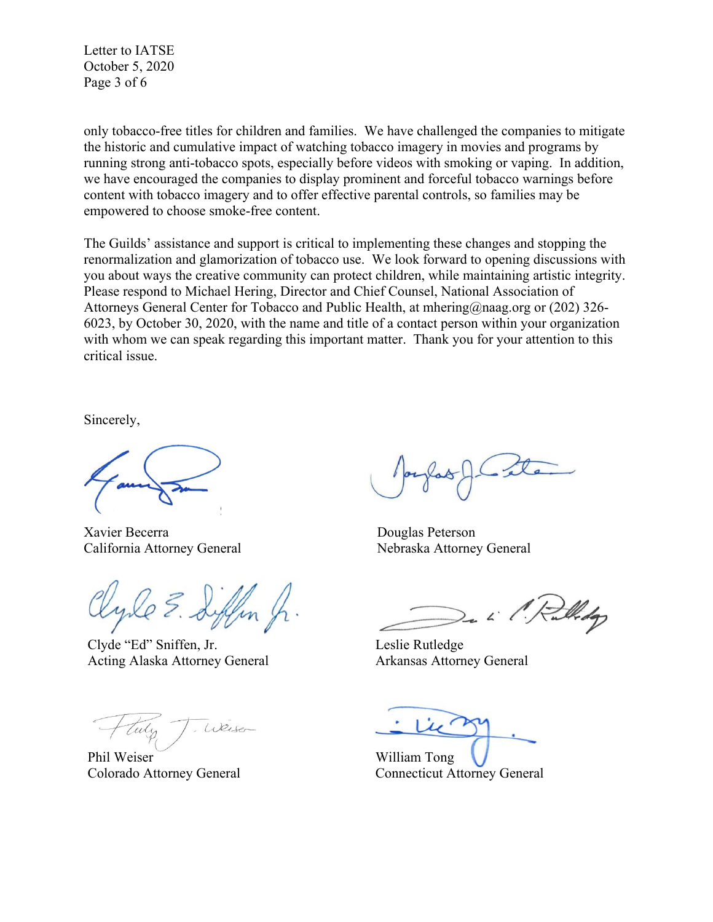Letter to IATSE October 5, 2020 Page 3 of 6

only tobacco-free titles for children and families. We have challenged the companies to mitigate the historic and cumulative impact of watching tobacco imagery in movies and programs by running strong anti-tobacco spots, especially before videos with smoking or vaping. In addition, we have encouraged the companies to display prominent and forceful tobacco warnings before content with tobacco imagery and to offer effective parental controls, so families may be empowered to choose smoke-free content.

The Guilds' assistance and support is critical to implementing these changes and stopping the renormalization and glamorization of tobacco use. We look forward to opening discussions with you about ways the creative community can protect children, while maintaining artistic integrity. Please respond to Michael Hering, Director and Chief Counsel, National Association of Attorneys General Center for Tobacco and Public Health, at mhering@naag.org or (202) 326- 6023, by October 30, 2020, with the name and title of a contact person within your organization with whom we can speak regarding this important matter. Thank you for your attention to this critical issue.

Sincerely,

Xavier Becerra Douglas Peterson California Attorney General Nebraska Attorney General

Clyde "Ed" Sniffen, Jr. Acting Alaska Attorney General

Weise

Phil Weiser Colorado Attorney General

Widop

Leslie Rutledge Arkansas Attorney General

William Tong Connecticut Attorney General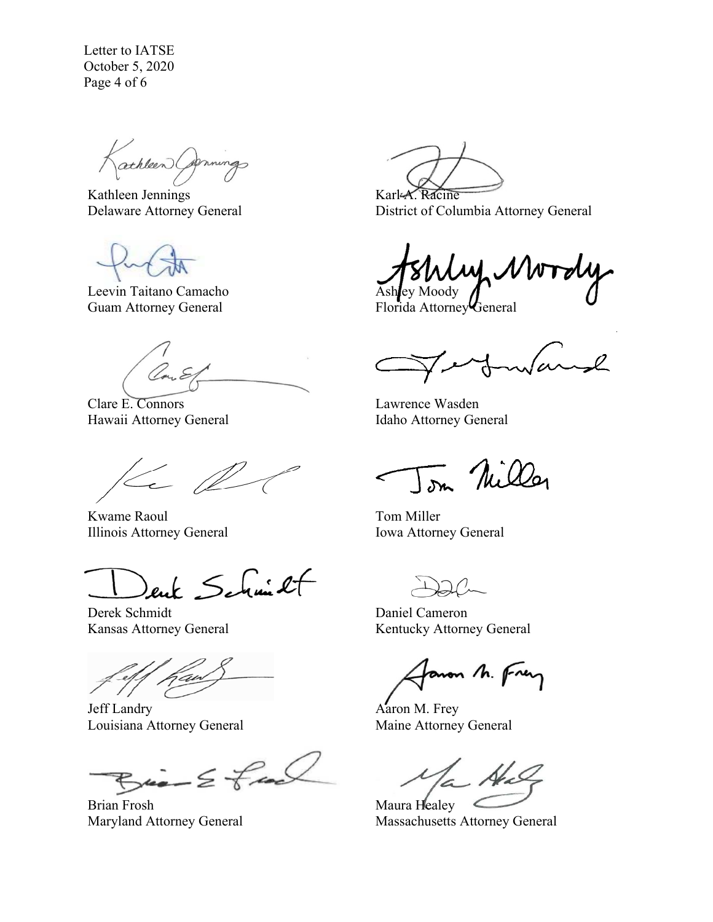Letter to IATSE October 5, 2020 Page 4 of 6

athleen Commings

Kathleen Jennings Delaware Attorney General

Leevin Taitano Camacho Guam Attorney General

Clare E. Connors Hawaii Attorney General

 $\leftarrow \mathbb{Z}$ 

Kwame Raoul Illinois Attorney General

ent Schmit

Derek Schmidt Kansas Attorney General

j

Jeff Landry Louisiana Attorney General

 $Bia-2fa$ 

Brian Frosh Maryland Attorney General

Karl-A. Racine District of Columbia Attorney General

、ノル Ashley Moody

Florida Attorney General

 $\sim$ l wa

Lawrence Wasden Idaho Attorney General

Tom Nilley

Tom Miller Iowa Attorney General

Daniel Cameron Kentucky Attorney General

aron M. Frey

Aaron M. Frey Maine Attorney General

 $\mathcal{N}_{\epsilon}$ 

Maura Healey Massachusetts Attorney General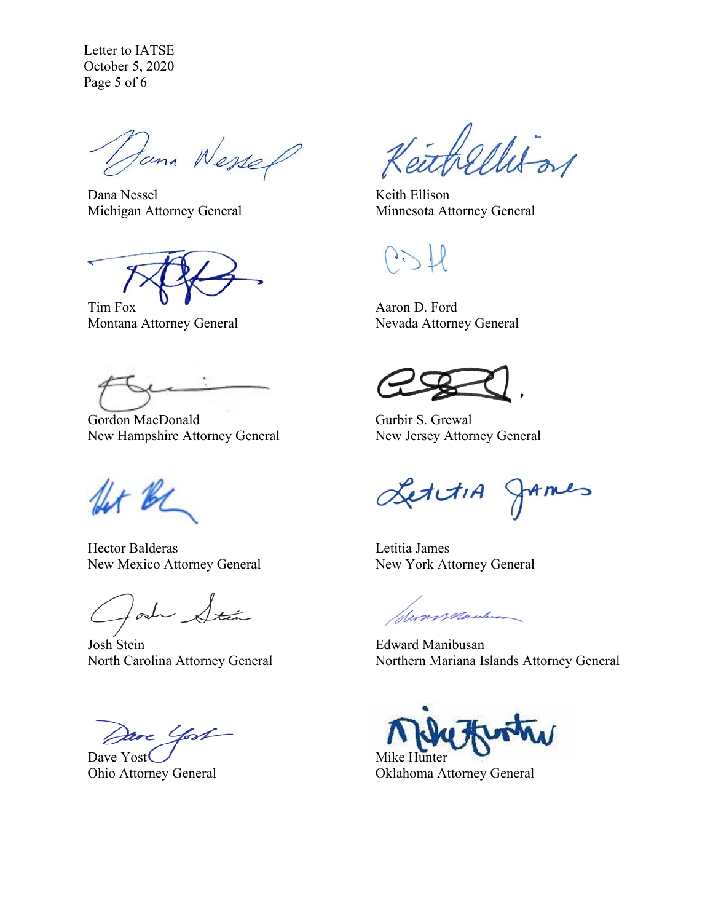Letter to IATSE October 5, 2020 Page 5 of 6

Dana Wessel

Dana Nessel Michigan Attorney General

Tim Fox

Montana Attorney General

Gordon MacDonald New Hampshire Attorney General

for be

Hector Balderas New Mexico Attorney General

lad Stán

Josh Stein North Carolina Attorney General

Dave Yost

Dave Yost Ohio Attorney General

thellison

Keith Ellison Minnesota Attorney General

Aaron D. Ford Nevada Attorney General

Gurbir S. Grewal New Jersey Attorney General

LettiA JAMES

Letitia James New York Attorney General

Suns Manderson

Edward Manibusan Northern Mariana Islands Attorney General

Mike Hunter Oklahoma Attorney General